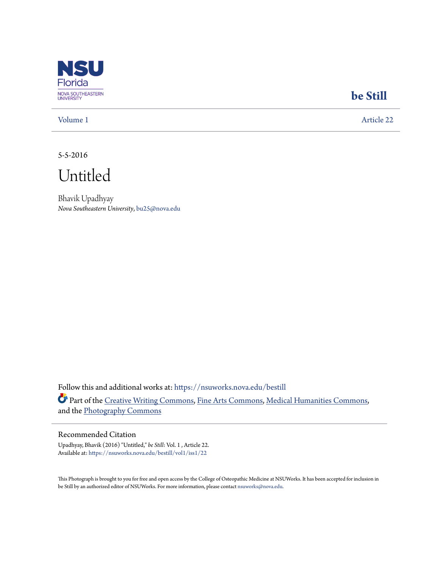

## **[be Still](https://nsuworks.nova.edu/bestill?utm_source=nsuworks.nova.edu%2Fbestill%2Fvol1%2Fiss1%2F22&utm_medium=PDF&utm_campaign=PDFCoverPages)**

[Volume 1](https://nsuworks.nova.edu/bestill/vol1?utm_source=nsuworks.nova.edu%2Fbestill%2Fvol1%2Fiss1%2F22&utm_medium=PDF&utm_campaign=PDFCoverPages) [Article 22](https://nsuworks.nova.edu/bestill/vol1/iss1/22?utm_source=nsuworks.nova.edu%2Fbestill%2Fvol1%2Fiss1%2F22&utm_medium=PDF&utm_campaign=PDFCoverPages)

5-5-2016

Untitled

Bhavik Upadhyay *Nova Southeastern University*, bu25@nova.edu

Follow this and additional works at: [https://nsuworks.nova.edu/bestill](https://nsuworks.nova.edu/bestill?utm_source=nsuworks.nova.edu%2Fbestill%2Fvol1%2Fiss1%2F22&utm_medium=PDF&utm_campaign=PDFCoverPages) Part of the [Creative Writing Commons](http://network.bepress.com/hgg/discipline/574?utm_source=nsuworks.nova.edu%2Fbestill%2Fvol1%2Fiss1%2F22&utm_medium=PDF&utm_campaign=PDFCoverPages), [Fine Arts Commons,](http://network.bepress.com/hgg/discipline/1141?utm_source=nsuworks.nova.edu%2Fbestill%2Fvol1%2Fiss1%2F22&utm_medium=PDF&utm_campaign=PDFCoverPages) [Medical Humanities Commons,](http://network.bepress.com/hgg/discipline/1303?utm_source=nsuworks.nova.edu%2Fbestill%2Fvol1%2Fiss1%2F22&utm_medium=PDF&utm_campaign=PDFCoverPages) and the [Photography Commons](http://network.bepress.com/hgg/discipline/1142?utm_source=nsuworks.nova.edu%2Fbestill%2Fvol1%2Fiss1%2F22&utm_medium=PDF&utm_campaign=PDFCoverPages)

## Recommended Citation

Upadhyay, Bhavik (2016) "Untitled," *be Still*: Vol. 1 , Article 22. Available at: [https://nsuworks.nova.edu/bestill/vol1/iss1/22](https://nsuworks.nova.edu/bestill/vol1/iss1/22?utm_source=nsuworks.nova.edu%2Fbestill%2Fvol1%2Fiss1%2F22&utm_medium=PDF&utm_campaign=PDFCoverPages)

This Photograph is brought to you for free and open access by the College of Osteopathic Medicine at NSUWorks. It has been accepted for inclusion in be Still by an authorized editor of NSUWorks. For more information, please contact [nsuworks@nova.edu](mailto:nsuworks@nova.edu).